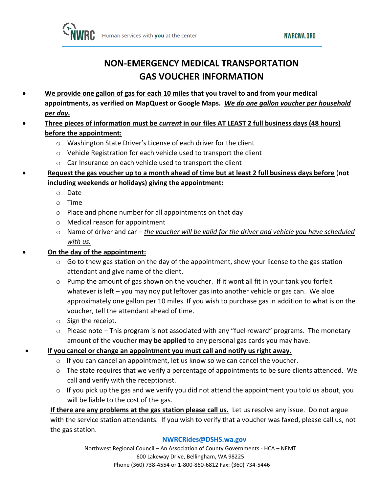**NWRCWA.ORG** 



## **NON-EMERGENCY MEDICAL TRANSPORTATION GAS VOUCHER INFORMATION**

- **We provide one gallon of gas for each 10 miles that you travel to and from your medical appointments, as verified on MapQuest or Google Maps.** *We do one gallon voucher per household per day.*
- **Three pieces of information must be** *current* **in our files AT LEAST 2 full business days (48 hours) before the appointment:**
	- o Washington State Driver's License of each driver for the client
	- o Vehicle Registration for each vehicle used to transport the client
	- o Car Insurance on each vehicle used to transport the client
- **Request the gas voucher up to a month ahead of time but at least 2 full business days before** (**not including weekends or holidays) giving the appointment:**
	- o Date
	- o Time
	- $\circ$  Place and phone number for all appointments on that day
	- o Medical reason for appointment
	- o Name of driver and car *the voucher will be valid for the driver and vehicle you have scheduled with us.*

### • **On the day of the appointment:**

- $\circ$  Go to thew gas station on the day of the appointment, show your license to the gas station attendant and give name of the client.
- $\circ$  Pump the amount of gas shown on the voucher. If it wont all fit in your tank you forfeit whatever is left – you may noy put leftover gas into another vehicle or gas can. We aloe approximately one gallon per 10 miles. If you wish to purchase gas in addition to what is on the voucher, tell the attendant ahead of time.
- o Sign the receipt.
- $\circ$  Please note This program is not associated with any "fuel reward" programs. The monetary amount of the voucher **may be applied** to any personal gas cards you may have.

#### • **If you cancel or change an appointment you must call and notify us right away.**

- $\circ$  If you can cancel an appointment, let us know so we can cancel the voucher.
- $\circ$  The state requires that we verify a percentage of appointments to be sure clients attended. We call and verify with the receptionist.
- $\circ$  If you pick up the gas and we verify you did not attend the appointment you told us about, you will be liable to the cost of the gas.

**If there are any problems at the gas station please call us.** Let us resolve any issue. Do not argue with the service station attendants. If you wish to verify that a voucher was faxed, please call us, not the gas station.

#### **[NWRCRides@DSHS.wa.gov](mailto:NWRCRides@DSHS.wa.gov)**